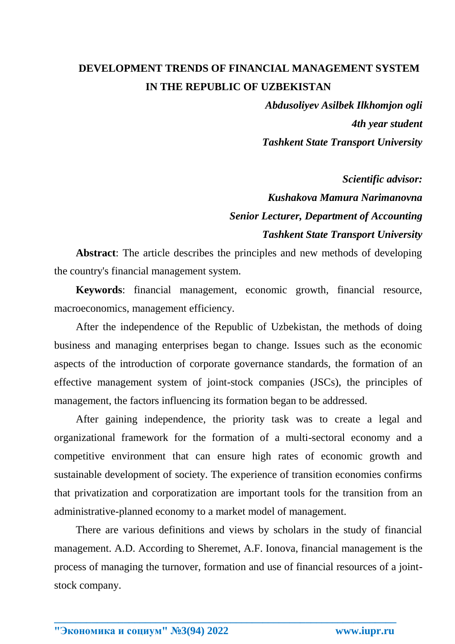## **DEVELOPMENT TRENDS OF FINANCIAL MANAGEMENT SYSTEM IN THE REPUBLIC OF UZBEKISTAN**

*Abdusoliyev Asilbek Ilkhomjon ogli 4th year student Tashkent State Transport University*

*Scientific advisor: Kushakova Mamura Narimanovna Senior Lecturer, Department of Accounting Tashkent State Transport University*

**Abstract**: The article describes the principles and new methods of developing the country's financial management system.

**Keywords**: financial management, economic growth, financial resource, macroeconomics, management efficiency.

After the independence of the Republic of Uzbekistan, the methods of doing business and managing enterprises began to change. Issues such as the economic aspects of the introduction of corporate governance standards, the formation of an effective management system of joint-stock companies (JSCs), the principles of management, the factors influencing its formation began to be addressed.

After gaining independence, the priority task was to create a legal and organizational framework for the formation of a multi-sectoral economy and a competitive environment that can ensure high rates of economic growth and sustainable development of society. The experience of transition economies confirms that privatization and corporatization are important tools for the transition from an administrative-planned economy to a market model of management.

There are various definitions and views by scholars in the study of financial management. A.D. According to Sheremet, A.F. Ionova, financial management is the process of managing the turnover, formation and use of financial resources of a jointstock company.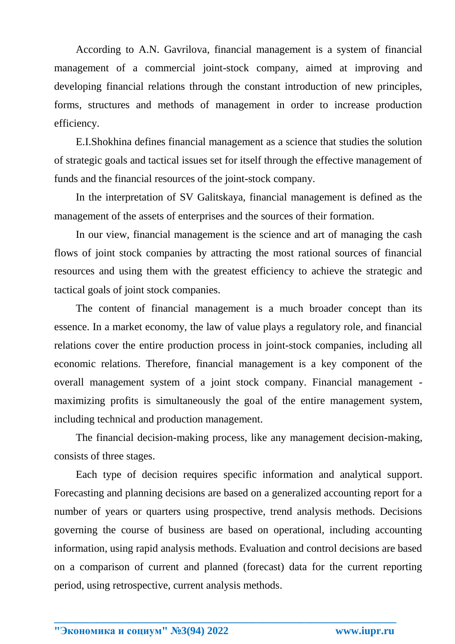According to A.N. Gavrilova, financial management is a system of financial management of a commercial joint-stock company, aimed at improving and developing financial relations through the constant introduction of new principles, forms, structures and methods of management in order to increase production efficiency.

E.I.Shokhina defines financial management as a science that studies the solution of strategic goals and tactical issues set for itself through the effective management of funds and the financial resources of the joint-stock company.

In the interpretation of SV Galitskaya, financial management is defined as the management of the assets of enterprises and the sources of their formation.

In our view, financial management is the science and art of managing the cash flows of joint stock companies by attracting the most rational sources of financial resources and using them with the greatest efficiency to achieve the strategic and tactical goals of joint stock companies.

The content of financial management is a much broader concept than its essence. In a market economy, the law of value plays a regulatory role, and financial relations cover the entire production process in joint-stock companies, including all economic relations. Therefore, financial management is a key component of the overall management system of a joint stock company. Financial management maximizing profits is simultaneously the goal of the entire management system, including technical and production management.

The financial decision-making process, like any management decision-making, consists of three stages.

Each type of decision requires specific information and analytical support. Forecasting and planning decisions are based on a generalized accounting report for a number of years or quarters using prospective, trend analysis methods. Decisions governing the course of business are based on operational, including accounting information, using rapid analysis methods. Evaluation and control decisions are based on a comparison of current and planned (forecast) data for the current reporting period, using retrospective, current analysis methods.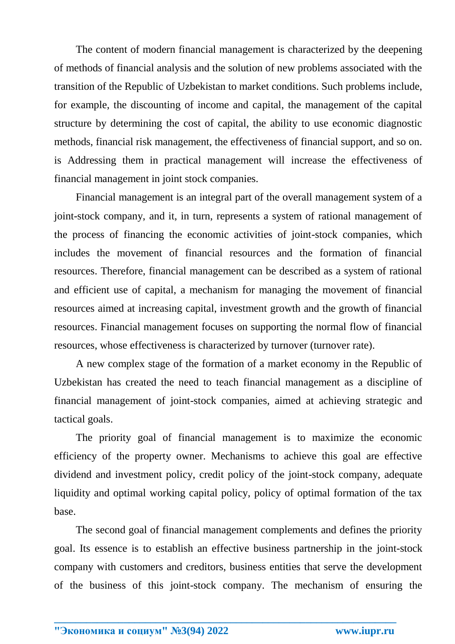The content of modern financial management is characterized by the deepening of methods of financial analysis and the solution of new problems associated with the transition of the Republic of Uzbekistan to market conditions. Such problems include, for example, the discounting of income and capital, the management of the capital structure by determining the cost of capital, the ability to use economic diagnostic methods, financial risk management, the effectiveness of financial support, and so on. is Addressing them in practical management will increase the effectiveness of financial management in joint stock companies.

Financial management is an integral part of the overall management system of a joint-stock company, and it, in turn, represents a system of rational management of the process of financing the economic activities of joint-stock companies, which includes the movement of financial resources and the formation of financial resources. Therefore, financial management can be described as a system of rational and efficient use of capital, a mechanism for managing the movement of financial resources aimed at increasing capital, investment growth and the growth of financial resources. Financial management focuses on supporting the normal flow of financial resources, whose effectiveness is characterized by turnover (turnover rate).

A new complex stage of the formation of a market economy in the Republic of Uzbekistan has created the need to teach financial management as a discipline of financial management of joint-stock companies, aimed at achieving strategic and tactical goals.

The priority goal of financial management is to maximize the economic efficiency of the property owner. Mechanisms to achieve this goal are effective dividend and investment policy, credit policy of the joint-stock company, adequate liquidity and optimal working capital policy, policy of optimal formation of the tax base.

The second goal of financial management complements and defines the priority goal. Its essence is to establish an effective business partnership in the joint-stock company with customers and creditors, business entities that serve the development of the business of this joint-stock company. The mechanism of ensuring the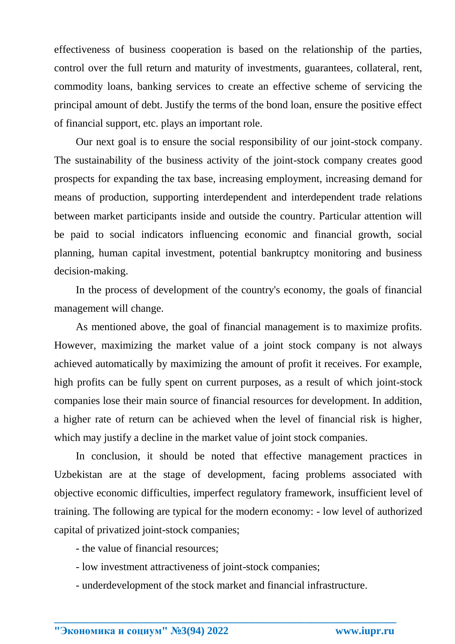effectiveness of business cooperation is based on the relationship of the parties, control over the full return and maturity of investments, guarantees, collateral, rent, commodity loans, banking services to create an effective scheme of servicing the principal amount of debt. Justify the terms of the bond loan, ensure the positive effect of financial support, etc. plays an important role.

Our next goal is to ensure the social responsibility of our joint-stock company. The sustainability of the business activity of the joint-stock company creates good prospects for expanding the tax base, increasing employment, increasing demand for means of production, supporting interdependent and interdependent trade relations between market participants inside and outside the country. Particular attention will be paid to social indicators influencing economic and financial growth, social planning, human capital investment, potential bankruptcy monitoring and business decision-making.

In the process of development of the country's economy, the goals of financial management will change.

As mentioned above, the goal of financial management is to maximize profits. However, maximizing the market value of a joint stock company is not always achieved automatically by maximizing the amount of profit it receives. For example, high profits can be fully spent on current purposes, as a result of which joint-stock companies lose their main source of financial resources for development. In addition, a higher rate of return can be achieved when the level of financial risk is higher, which may justify a decline in the market value of joint stock companies.

In conclusion, it should be noted that effective management practices in Uzbekistan are at the stage of development, facing problems associated with objective economic difficulties, imperfect regulatory framework, insufficient level of training. The following are typical for the modern economy: - low level of authorized capital of privatized joint-stock companies;

- the value of financial resources;

- low investment attractiveness of joint-stock companies;
- underdevelopment of the stock market and financial infrastructure.